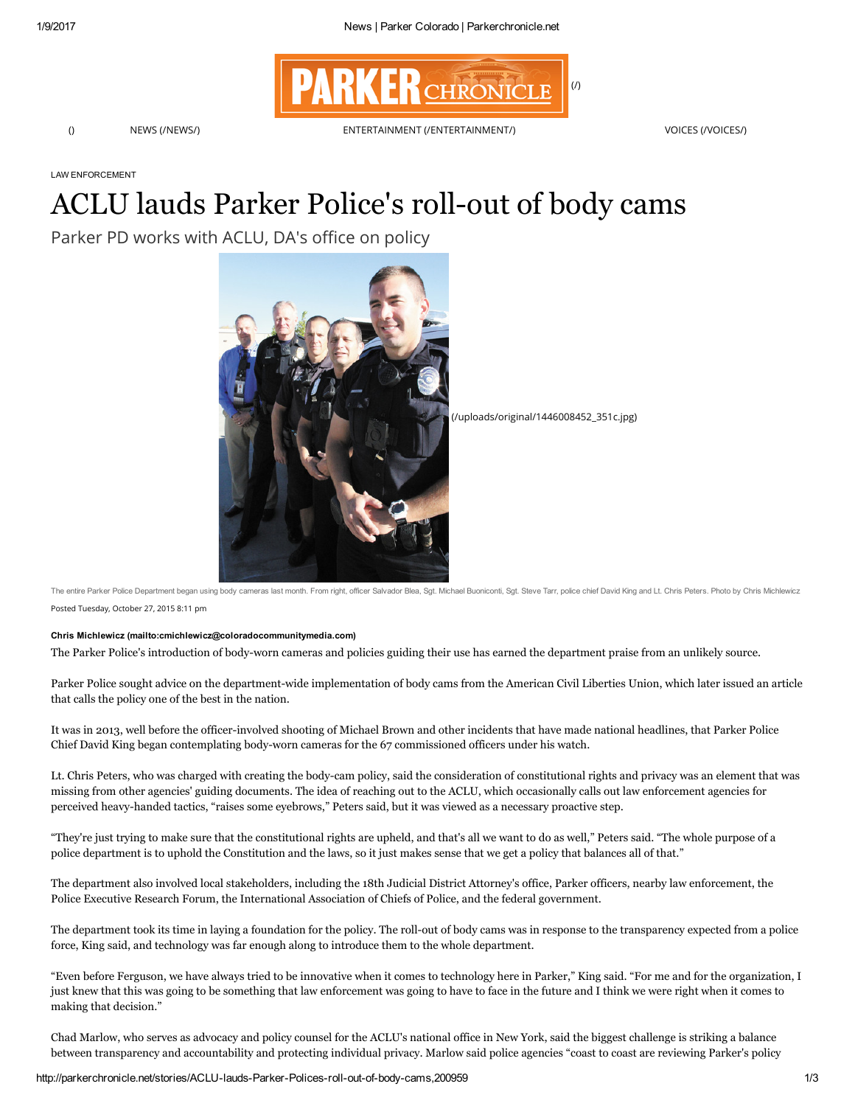

LAW ENFORCEMENT

# ACLU lauds Parker Police's roll-out of body cams

Parker PD works with ACLU, DA's office on policy



[\(/uploads/original/1446008452\\_351c.jpg\)](http://parkerchronicle.net/uploads/original/1446008452_351c.jpg)

Posted Tuesday, October 27, 2015 8:11 pm The entire Parker Police Department began using body cameras last month. From right, officer Salvador Blea, Sgt. Michael Buoniconti, Sgt. Steve Tarr, police chief David King and Lt. Chris Peters. Photo by Chris Michlewicz

### Chris Michlewicz [\(mailto:cmichlewicz@coloradocommunitymedia.com\)](mailto:cmichlewicz@coloradocommunitymedia.com)

The Parker Police's introduction of bodyworn cameras and policies guiding their use has earned the department praise from an unlikely source.

Parker Police sought advice on the department-wide implementation of body cams from the American Civil Liberties Union, which later issued an article that calls the policy one of the best in the nation.

It was in 2013, well before the officer-involved shooting of Michael Brown and other incidents that have made national headlines, that Parker Police Chief David King began contemplating body-worn cameras for the 67 commissioned officers under his watch.

Lt. Chris Peters, who was charged with creating the bodycam policy, said the consideration of constitutional rights and privacy was an element that was missing from other agencies' guiding documents. The idea of reaching out to the ACLU, which occasionally calls out law enforcement agencies for perceived heavyhanded tactics, "raises some eyebrows," Peters said, but it was viewed as a necessary proactive step.

"They're just trying to make sure that the constitutional rights are upheld, and that's all we want to do as well," Peters said. "The whole purpose of a police department is to uphold the Constitution and the laws, so it just makes sense that we get a policy that balances all of that."

The department also involved local stakeholders, including the 18th Judicial District Attorney's office, Parker officers, nearby law enforcement, the Police Executive Research Forum, the International Association of Chiefs of Police, and the federal government.

The department took its time in laying a foundation for the policy. The roll-out of body cams was in response to the transparency expected from a police force, King said, and technology was far enough along to introduce them to the whole department.

"Even before Ferguson, we have always tried to be innovative when it comes to technology here in Parker," King said. "For me and for the organization, I just knew that this was going to be something that law enforcement was going to have to face in the future and I think we were right when it comes to making that decision."

Chad Marlow, who serves as advocacy and policy counsel for the ACLU's national office in New York, said the biggest challenge is striking a balance between transparency and accountability and protecting individual privacy. Marlow said police agencies "coast to coast are reviewing Parker's policy